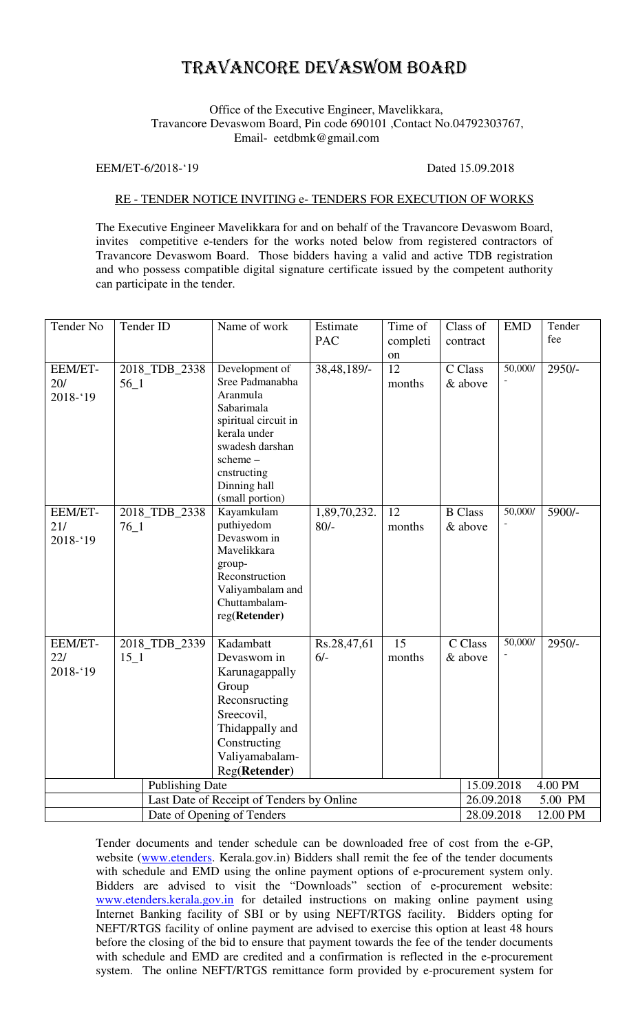## TRAVANCORE DEVASWOM BOARD

## Office of the Executive Engineer, Mavelikkara, Travancore Devaswom Board, Pin code 690101 ,Contact No.04792303767, Email- eetdbmk@gmail.com

EEM/ET-6/2018-'19 Dated 15.09.2018

## RE - TENDER NOTICE INVITING e- TENDERS FOR EXECUTION OF WORKS

The Executive Engineer Mavelikkara for and on behalf of the Travancore Devaswom Board, invites competitive e-tenders for the works noted below from registered contractors of Travancore Devaswom Board. Those bidders having a valid and active TDB registration and who possess compatible digital signature certificate issued by the competent authority can participate in the tender.

| Tender No                                 |          | Tender ID     | Name of work                  | Estimate     | Time of         |         | Class of               | <b>EMD</b> | Tender   |  |
|-------------------------------------------|----------|---------------|-------------------------------|--------------|-----------------|---------|------------------------|------------|----------|--|
|                                           |          |               |                               | <b>PAC</b>   | completi        |         | contract               |            | fee      |  |
|                                           |          |               |                               |              | on              |         |                        |            |          |  |
| EEM/ET-                                   |          | 2018_TDB_2338 | Development of                | 38,48,189/-  | 12              |         | C Class                | 50,000/    | $2950/-$ |  |
| 20/                                       | $56\_1$  |               | Sree Padmanabha               |              | months          |         | & above                |            |          |  |
| $2018 - 19$                               |          |               | Aranmula                      |              |                 |         |                        |            |          |  |
|                                           |          |               | Sabarimala                    |              |                 |         |                        |            |          |  |
|                                           |          |               | spiritual circuit in          |              |                 |         |                        |            |          |  |
|                                           |          |               | kerala under                  |              |                 |         |                        |            |          |  |
|                                           |          |               | swadesh darshan               |              |                 |         |                        |            |          |  |
|                                           |          |               | scheme-                       |              |                 |         |                        |            |          |  |
|                                           |          |               | cnstructing                   |              |                 |         |                        |            |          |  |
|                                           |          |               | Dinning hall                  |              |                 |         |                        |            |          |  |
| EEM/ET-                                   |          | 2018_TDB_2338 | (small portion)<br>Kayamkulam | 1,89,70,232. | $\overline{12}$ |         | <b>B</b> Class         | 50,000/    | 5900/-   |  |
| 21/                                       | $76 - 1$ |               | puthiyedom                    | $80/-$       | months          |         | & above                |            |          |  |
| $2018 - 19$                               |          |               | Devaswom in                   |              |                 |         |                        |            |          |  |
|                                           |          |               | Mavelikkara                   |              |                 |         |                        |            |          |  |
|                                           |          |               | group-                        |              |                 |         |                        |            |          |  |
|                                           |          |               | Reconstruction                |              |                 |         |                        |            |          |  |
|                                           |          |               | Valiyambalam and              |              |                 |         |                        |            |          |  |
|                                           |          |               | Chuttambalam-                 |              |                 |         |                        |            |          |  |
|                                           |          |               | reg(Retender)                 |              |                 |         |                        |            |          |  |
| EEM/ET-                                   |          | 2018_TDB_2339 | Kadambatt                     | Rs.28,47,61  | $\overline{15}$ |         | C Class                | 50,000/    | $2950/-$ |  |
| 22/                                       | $15\_1$  |               | Devaswom in                   | $6/-$        | months          | & above |                        |            |          |  |
| $2018 - 19$                               |          |               | Karunagappally                |              |                 |         |                        |            |          |  |
|                                           |          |               | Group                         |              |                 |         |                        |            |          |  |
|                                           |          |               | Reconsructing                 |              |                 |         |                        |            |          |  |
|                                           |          |               | Sreecovil,                    |              |                 |         |                        |            |          |  |
|                                           |          |               | Thidappally and               |              |                 |         |                        |            |          |  |
|                                           |          |               | Constructing                  |              |                 |         |                        |            |          |  |
|                                           |          |               | Valiyamabalam-                |              |                 |         |                        |            |          |  |
|                                           |          |               | Reg(Retender)                 |              |                 |         |                        |            |          |  |
| <b>Publishing Date</b>                    |          |               |                               |              |                 |         | 15.09.2018<br>4.00 PM  |            |          |  |
| Last Date of Receipt of Tenders by Online |          |               |                               |              |                 |         | 26.09.2018<br>5.00 PM  |            |          |  |
| Date of Opening of Tenders                |          |               |                               |              |                 |         | 28.09.2018<br>12.00 PM |            |          |  |

Tender documents and tender schedule can be downloaded free of cost from the e-GP, website (www.etenders. Kerala.gov.in) Bidders shall remit the fee of the tender documents with schedule and EMD using the online payment options of e-procurement system only. Bidders are advised to visit the "Downloads" section of e-procurement website: www.etenders.kerala.gov.in for detailed instructions on making online payment using Internet Banking facility of SBI or by using NEFT/RTGS facility. Bidders opting for NEFT/RTGS facility of online payment are advised to exercise this option at least 48 hours before the closing of the bid to ensure that payment towards the fee of the tender documents with schedule and EMD are credited and a confirmation is reflected in the e-procurement system. The online NEFT/RTGS remittance form provided by e-procurement system for